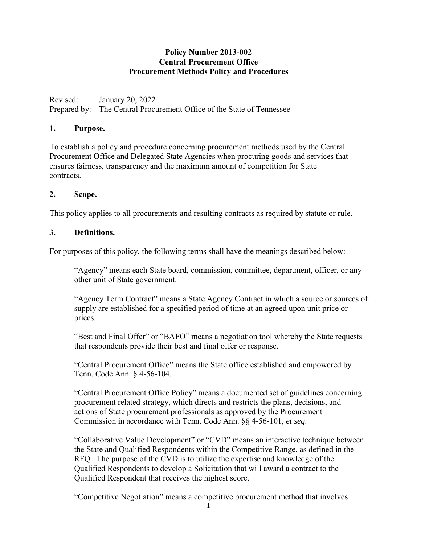### **Policy Number 2013-002 Central Procurement Office Procurement Methods Policy and Procedures**

Revised: January 20, 2022 Prepared by: The Central Procurement Office of the State of Tennessee

#### **1. Purpose.**

To establish a policy and procedure concerning procurement methods used by the Central Procurement Office and Delegated State Agencies when procuring goods and services that ensures fairness, transparency and the maximum amount of competition for State contracts.

#### **2. Scope.**

This policy applies to all procurements and resulting contracts as required by statute or rule.

#### **3. Definitions.**

For purposes of this policy, the following terms shall have the meanings described below:

"Agency" means each State board, commission, committee, department, officer, or any other unit of State government.

"Agency Term Contract" means a State Agency Contract in which a source or sources of supply are established for a specified period of time at an agreed upon unit price or prices.

"Best and Final Offer" or "BAFO" means a negotiation tool whereby the State requests that respondents provide their best and final offer or response.

"Central Procurement Office" means the State office established and empowered by Tenn. Code Ann. § 4-56-104.

"Central Procurement Office Policy" means a documented set of guidelines concerning procurement related strategy, which directs and restricts the plans, decisions, and actions of State procurement professionals as approved by the Procurement Commission in accordance with Tenn. Code Ann. §§ 4-56-101, *et seq*.

"Collaborative Value Development" or "CVD" means an interactive technique between the State and Qualified Respondents within the Competitive Range, as defined in the RFQ. The purpose of the CVD is to utilize the expertise and knowledge of the Qualified Respondents to develop a Solicitation that will award a contract to the Qualified Respondent that receives the highest score.

"Competitive Negotiation" means a competitive procurement method that involves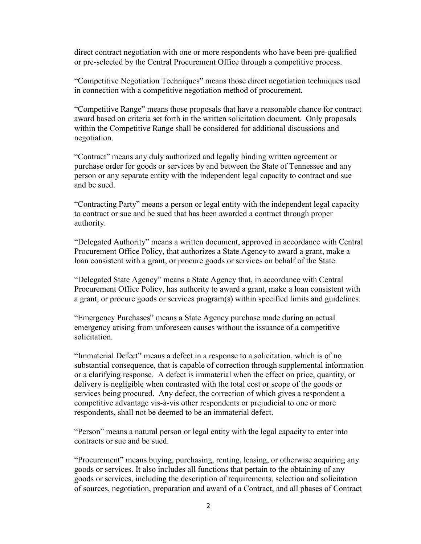direct contract negotiation with one or more respondents who have been pre-qualified or pre-selected by the Central Procurement Office through a competitive process.

"Competitive Negotiation Techniques" means those direct negotiation techniques used in connection with a competitive negotiation method of procurement.

"Competitive Range" means those proposals that have a reasonable chance for contract award based on criteria set forth in the written solicitation document. Only proposals within the Competitive Range shall be considered for additional discussions and negotiation.

"Contract" means any duly authorized and legally binding written agreement or purchase order for goods or services by and between the State of Tennessee and any person or any separate entity with the independent legal capacity to contract and sue and be sued.

"Contracting Party" means a person or legal entity with the independent legal capacity to contract or sue and be sued that has been awarded a contract through proper authority.

"Delegated Authority" means a written document, approved in accordance with Central Procurement Office Policy, that authorizes a State Agency to award a grant, make a loan consistent with a grant, or procure goods or services on behalf of the State.

"Delegated State Agency" means a State Agency that, in accordance with Central Procurement Office Policy, has authority to award a grant, make a loan consistent with a grant, or procure goods or services program(s) within specified limits and guidelines.

"Emergency Purchases" means a State Agency purchase made during an actual emergency arising from unforeseen causes without the issuance of a competitive solicitation.

"Immaterial Defect" means a defect in a response to a solicitation, which is of no substantial consequence, that is capable of correction through supplemental information or a clarifying response. A defect is immaterial when the effect on price, quantity, or delivery is negligible when contrasted with the total cost or scope of the goods or services being procured. Any defect, the correction of which gives a respondent a competitive advantage vis-à-vis other respondents or prejudicial to one or more respondents, shall not be deemed to be an immaterial defect.

"Person" means a natural person or legal entity with the legal capacity to enter into contracts or sue and be sued.

"Procurement" means buying, purchasing, renting, leasing, or otherwise acquiring any goods or services. It also includes all functions that pertain to the obtaining of any goods or services, including the description of requirements, selection and solicitation of sources, negotiation, preparation and award of a Contract, and all phases of Contract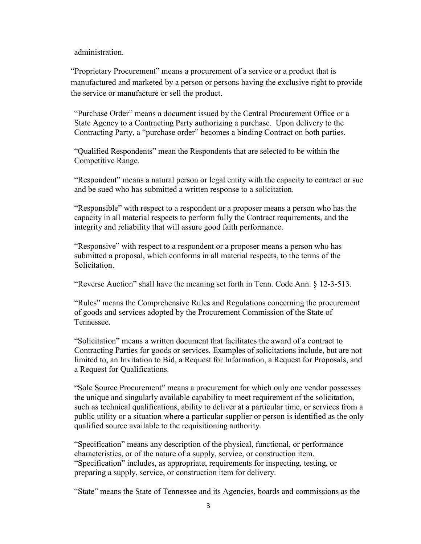administration.

"Proprietary Procurement" means a procurement of a service or a product that is manufactured and marketed by a person or persons having the exclusive right to provide the service or manufacture or sell the product.

"Purchase Order" means a document issued by the Central Procurement Office or a State Agency to a Contracting Party authorizing a purchase. Upon delivery to the Contracting Party, a "purchase order" becomes a binding Contract on both parties.

"Qualified Respondents" mean the Respondents that are selected to be within the Competitive Range.

"Respondent" means a natural person or legal entity with the capacity to contract or sue and be sued who has submitted a written response to a solicitation.

"Responsible" with respect to a respondent or a proposer means a person who has the capacity in all material respects to perform fully the Contract requirements, and the integrity and reliability that will assure good faith performance.

"Responsive" with respect to a respondent or a proposer means a person who has submitted a proposal, which conforms in all material respects, to the terms of the Solicitation.

"Reverse Auction" shall have the meaning set forth in Tenn. Code Ann. § 12-3-513.

"Rules" means the Comprehensive Rules and Regulations concerning the procurement of goods and services adopted by the Procurement Commission of the State of Tennessee.

"Solicitation" means a written document that facilitates the award of a contract to Contracting Parties for goods or services. Examples of solicitations include, but are not limited to, an Invitation to Bid, a Request for Information, a Request for Proposals, and a Request for Qualifications.

"Sole Source Procurement" means a procurement for which only one vendor possesses the unique and singularly available capability to meet requirement of the solicitation, such as technical qualifications, ability to deliver at a particular time, or services from a public utility or a situation where a particular supplier or person is identified as the only qualified source available to the requisitioning authority*.*

"Specification" means any description of the physical, functional, or performance characteristics, or of the nature of a supply, service, or construction item. "Specification" includes, as appropriate, requirements for inspecting, testing, or preparing a supply, service, or construction item for delivery.

"State" means the State of Tennessee and its Agencies, boards and commissions as the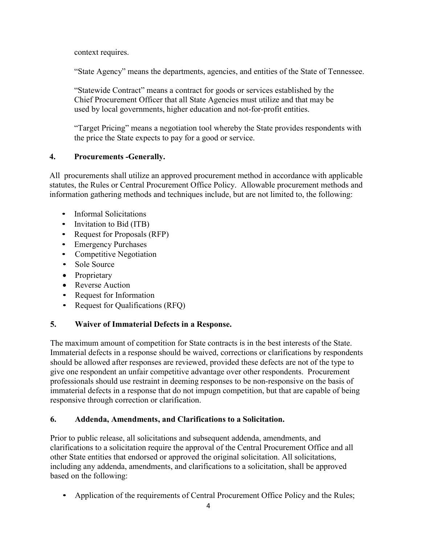context requires.

"State Agency" means the departments, agencies, and entities of the State of Tennessee.

"Statewide Contract" means a contract for goods or services established by the Chief Procurement Officer that all State Agencies must utilize and that may be used by local governments, higher education and not-for-profit entities.

"Target Pricing" means a negotiation tool whereby the State provides respondents with the price the State expects to pay for a good or service.

## **4. Procurements -Generally.**

All procurements shall utilize an approved procurement method in accordance with applicable statutes, the Rules or Central Procurement Office Policy. Allowable procurement methods and information gathering methods and techniques include, but are not limited to, the following:

- Informal Solicitations
- Invitation to Bid (ITB)
- Request for Proposals (RFP)
- Emergency Purchases
- Competitive Negotiation
- Sole Source
- Proprietary
- Reverse Auction
- Request for Information
- Request for Qualifications (RFQ)

# **5. Waiver of Immaterial Defects in a Response.**

The maximum amount of competition for State contracts is in the best interests of the State. Immaterial defects in a response should be waived, corrections or clarifications by respondents should be allowed after responses are reviewed, provided these defects are not of the type to give one respondent an unfair competitive advantage over other respondents. Procurement professionals should use restraint in deeming responses to be non-responsive on the basis of immaterial defects in a response that do not impugn competition, but that are capable of being responsive through correction or clarification.

# **6. Addenda, Amendments, and Clarifications to a Solicitation.**

Prior to public release, all solicitations and subsequent addenda, amendments, and clarifications to a solicitation require the approval of the Central Procurement Office and all other State entities that endorsed or approved the original solicitation. All solicitations, including any addenda, amendments, and clarifications to a solicitation, shall be approved based on the following:

• Application of the requirements of Central Procurement Office Policy and the Rules;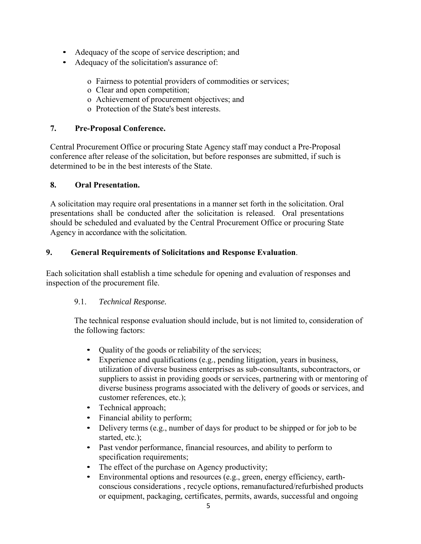- Adequacy of the scope of service description; and
- Adequacy of the solicitation's assurance of:
	- o Fairness to potential providers of commodities or services;
	- o Clear and open competition;
	- o Achievement of procurement objectives; and
	- o Protection of the State's best interests.

## **7. Pre-Proposal Conference.**

Central Procurement Office or procuring State Agency staff may conduct a Pre-Proposal conference after release of the solicitation, but before responses are submitted, if such is determined to be in the best interests of the State.

## **8. Oral Presentation.**

A solicitation may require oral presentations in a manner set forth in the solicitation. Oral presentations shall be conducted after the solicitation is released. Oral presentations should be scheduled and evaluated by the Central Procurement Office or procuring State Agency in accordance with the solicitation.

## **9. General Requirements of Solicitations and Response Evaluation**.

Each solicitation shall establish a time schedule for opening and evaluation of responses and inspection of the procurement file.

# 9.1. *Technical Response.*

The technical response evaluation should include, but is not limited to, consideration of the following factors:

- Quality of the goods or reliability of the services;
- Experience and qualifications (e.g., pending litigation, years in business, utilization of diverse business enterprises as sub-consultants, subcontractors, or suppliers to assist in providing goods or services, partnering with or mentoring of diverse business programs associated with the delivery of goods or services, and customer references, etc.);
- Technical approach;
- Financial ability to perform;
- Delivery terms (e.g., number of days for product to be shipped or for job to be started, etc.);
- Past vendor performance, financial resources, and ability to perform to specification requirements;
- The effect of the purchase on Agency productivity;
- Environmental options and resources (e.g., green, energy efficiency, earthconscious considerations , recycle options, remanufactured/refurbished products or equipment, packaging, certificates, permits, awards, successful and ongoing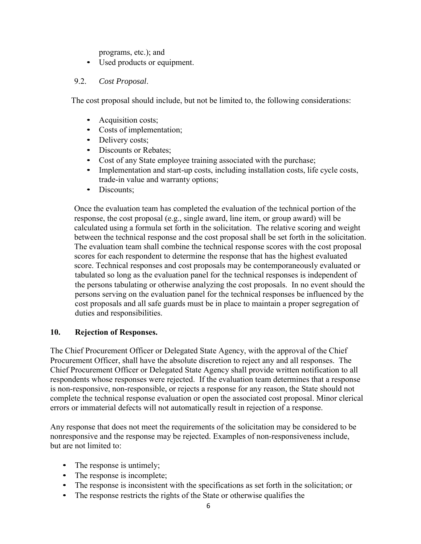programs, etc.); and

• Used products or equipment.

#### 9.2. *Cost Proposal*.

The cost proposal should include, but not be limited to, the following considerations:

- Acquisition costs;
- Costs of implementation;
- Delivery costs;
- Discounts or Rebates:
- Cost of any State employee training associated with the purchase;
- Implementation and start-up costs, including installation costs, life cycle costs, trade-in value and warranty options;
- Discounts;

Once the evaluation team has completed the evaluation of the technical portion of the response, the cost proposal (e.g., single award, line item, or group award) will be calculated using a formula set forth in the solicitation. The relative scoring and weight between the technical response and the cost proposal shall be set forth in the solicitation. The evaluation team shall combine the technical response scores with the cost proposal scores for each respondent to determine the response that has the highest evaluated score. Technical responses and cost proposals may be contemporaneously evaluated or tabulated so long as the evaluation panel for the technical responses is independent of the persons tabulating or otherwise analyzing the cost proposals. In no event should the persons serving on the evaluation panel for the technical responses be influenced by the cost proposals and all safe guards must be in place to maintain a proper segregation of duties and responsibilities.

#### **10. Rejection of Responses.**

The Chief Procurement Officer or Delegated State Agency, with the approval of the Chief Procurement Officer, shall have the absolute discretion to reject any and all responses. The Chief Procurement Officer or Delegated State Agency shall provide written notification to all respondents whose responses were rejected. If the evaluation team determines that a response is non-responsive, non-responsible, or rejects a response for any reason, the State should not complete the technical response evaluation or open the associated cost proposal. Minor clerical errors or immaterial defects will not automatically result in rejection of a response.

Any response that does not meet the requirements of the solicitation may be considered to be nonresponsive and the response may be rejected. Examples of non-responsiveness include, but are not limited to:

- The response is untimely;
- The response is incomplete;
- The response is inconsistent with the specifications as set forth in the solicitation; or
- The response restricts the rights of the State or otherwise qualifies the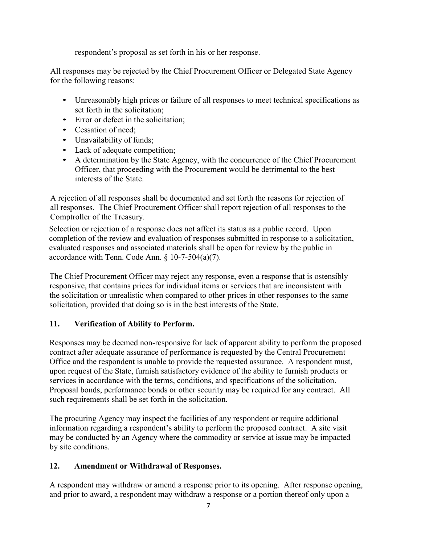respondent's proposal as set forth in his or her response.

All responses may be rejected by the Chief Procurement Officer or Delegated State Agency for the following reasons:

- Unreasonably high prices or failure of all responses to meet technical specifications as set forth in the solicitation;
- Error or defect in the solicitation:
- Cessation of need:
- Unavailability of funds;
- Lack of adequate competition;
- A determination by the State Agency, with the concurrence of the Chief Procurement Officer, that proceeding with the Procurement would be detrimental to the best interests of the State.

A rejection of all responses shall be documented and set forth the reasons for rejection of all responses. The Chief Procurement Officer shall report rejection of all responses to the Comptroller of the Treasury.

Selection or rejection of a response does not affect its status as a public record. Upon completion of the review and evaluation of responses submitted in response to a solicitation, evaluated responses and associated materials shall be open for review by the public in accordance with Tenn. Code Ann. § 10-7-504(a)(7).

The Chief Procurement Officer may reject any response, even a response that is ostensibly responsive, that contains prices for individual items or services that are inconsistent with the solicitation or unrealistic when compared to other prices in other responses to the same solicitation, provided that doing so is in the best interests of the State.

### **11. Verification of Ability to Perform.**

Responses may be deemed non-responsive for lack of apparent ability to perform the proposed contract after adequate assurance of performance is requested by the Central Procurement Office and the respondent is unable to provide the requested assurance. A respondent must, upon request of the State, furnish satisfactory evidence of the ability to furnish products or services in accordance with the terms, conditions, and specifications of the solicitation. Proposal bonds, performance bonds or other security may be required for any contract. All such requirements shall be set forth in the solicitation.

The procuring Agency may inspect the facilities of any respondent or require additional information regarding a respondent's ability to perform the proposed contract. A site visit may be conducted by an Agency where the commodity or service at issue may be impacted by site conditions.

### **12. Amendment or Withdrawal of Responses.**

A respondent may withdraw or amend a response prior to its opening. After response opening, and prior to award, a respondent may withdraw a response or a portion thereof only upon a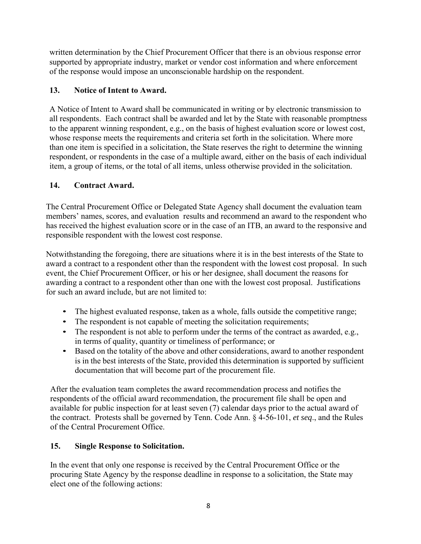written determination by the Chief Procurement Officer that there is an obvious response error supported by appropriate industry, market or vendor cost information and where enforcement of the response would impose an unconscionable hardship on the respondent.

## **13. Notice of Intent to Award.**

A Notice of Intent to Award shall be communicated in writing or by electronic transmission to all respondents. Each contract shall be awarded and let by the State with reasonable promptness to the apparent winning respondent, e.g., on the basis of highest evaluation score or lowest cost, whose response meets the requirements and criteria set forth in the solicitation. Where more than one item is specified in a solicitation, the State reserves the right to determine the winning respondent, or respondents in the case of a multiple award, either on the basis of each individual item, a group of items, or the total of all items, unless otherwise provided in the solicitation.

## **14. Contract Award.**

The Central Procurement Office or Delegated State Agency shall document the evaluation team members' names, scores, and evaluation results and recommend an award to the respondent who has received the highest evaluation score or in the case of an ITB, an award to the responsive and responsible respondent with the lowest cost response.

Notwithstanding the foregoing, there are situations where it is in the best interests of the State to award a contract to a respondent other than the respondent with the lowest cost proposal. In such event, the Chief Procurement Officer, or his or her designee, shall document the reasons for awarding a contract to a respondent other than one with the lowest cost proposal. Justifications for such an award include, but are not limited to:

- The highest evaluated response, taken as a whole, falls outside the competitive range;
- The respondent is not capable of meeting the solicitation requirements;
- The respondent is not able to perform under the terms of the contract as awarded, e.g., in terms of quality, quantity or timeliness of performance; or
- Based on the totality of the above and other considerations, award to another respondent is in the best interests of the State, provided this determination is supported by sufficient documentation that will become part of the procurement file.

After the evaluation team completes the award recommendation process and notifies the respondents of the official award recommendation, the procurement file shall be open and available for public inspection for at least seven (7) calendar days prior to the actual award of the contract. Protests shall be governed by Tenn. Code Ann. § 4-56-101, *et seq*., and the Rules of the Central Procurement Office.

# **15. Single Response to Solicitation.**

In the event that only one response is received by the Central Procurement Office or the procuring State Agency by the response deadline in response to a solicitation, the State may elect one of the following actions: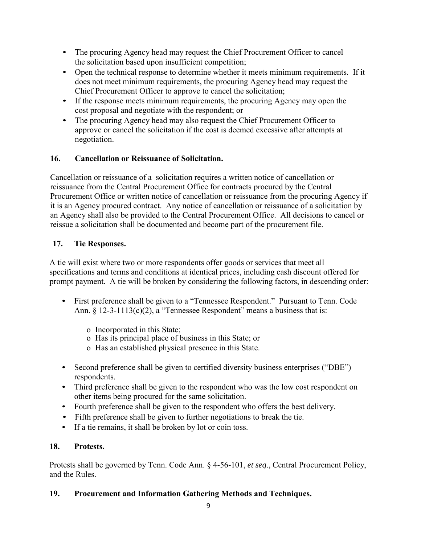- The procuring Agency head may request the Chief Procurement Officer to cancel the solicitation based upon insufficient competition;
- Open the technical response to determine whether it meets minimum requirements. If it does not meet minimum requirements, the procuring Agency head may request the Chief Procurement Officer to approve to cancel the solicitation;
- If the response meets minimum requirements, the procuring Agency may open the cost proposal and negotiate with the respondent; or
- The procuring Agency head may also request the Chief Procurement Officer to approve or cancel the solicitation if the cost is deemed excessive after attempts at negotiation.

## **16. Cancellation or Reissuance of Solicitation.**

Cancellation or reissuance of a solicitation requires a written notice of cancellation or reissuance from the Central Procurement Office for contracts procured by the Central Procurement Office or written notice of cancellation or reissuance from the procuring Agency if it is an Agency procured contract. Any notice of cancellation or reissuance of a solicitation by an Agency shall also be provided to the Central Procurement Office. All decisions to cancel or reissue a solicitation shall be documented and become part of the procurement file.

## **17. Tie Responses.**

A tie will exist where two or more respondents offer goods or services that meet all specifications and terms and conditions at identical prices, including cash discount offered for prompt payment. A tie will be broken by considering the following factors, in descending order:

- First preference shall be given to a "Tennessee Respondent." Pursuant to Tenn. Code Ann.  $\S$  12-3-1113(c)(2), a "Tennessee Respondent" means a business that is:
	- o Incorporated in this State;
	- o Has its principal place of business in this State; or
	- o Has an established physical presence in this State.
- Second preference shall be given to certified diversity business enterprises ("DBE") respondents.
- Third preference shall be given to the respondent who was the low cost respondent on other items being procured for the same solicitation.
- Fourth preference shall be given to the respondent who offers the best delivery.
- Fifth preference shall be given to further negotiations to break the tie.
- If a tie remains, it shall be broken by lot or coin toss.

### **18. Protests.**

Protests shall be governed by Tenn. Code Ann. § 4-56-101, *et seq*., Central Procurement Policy, and the Rules.

### **19. Procurement and Information Gathering Methods and Techniques.**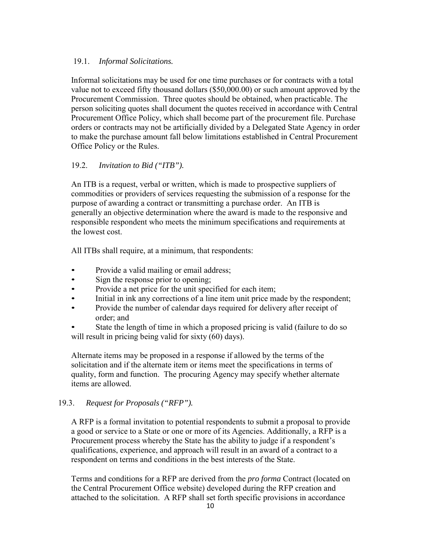#### 19.1. *Informal Solicitations.*

Informal solicitations may be used for one time purchases or for contracts with a total value not to exceed fifty thousand dollars (\$50,000.00) or such amount approved by the Procurement Commission. Three quotes should be obtained, when practicable. The person soliciting quotes shall document the quotes received in accordance with Central Procurement Office Policy, which shall become part of the procurement file. Purchase orders or contracts may not be artificially divided by a Delegated State Agency in order to make the purchase amount fall below limitations established in Central Procurement Office Policy or the Rules.

#### 19.2. *Invitation to Bid ("ITB").*

An ITB is a request, verbal or written, which is made to prospective suppliers of commodities or providers of services requesting the submission of a response for the purpose of awarding a contract or transmitting a purchase order. An ITB is generally an objective determination where the award is made to the responsive and responsible respondent who meets the minimum specifications and requirements at the lowest cost.

All ITBs shall require, at a minimum, that respondents:

- Provide a valid mailing or email address;
- Sign the response prior to opening;
- Provide a net price for the unit specified for each item;
- Initial in ink any corrections of a line item unit price made by the respondent;
- Provide the number of calendar days required for delivery after receipt of order; and
- State the length of time in which a proposed pricing is valid (failure to do so will result in pricing being valid for sixty (60) days).

Alternate items may be proposed in a response if allowed by the terms of the solicitation and if the alternate item or items meet the specifications in terms of quality, form and function. The procuring Agency may specify whether alternate items are allowed.

### 19.3. *Request for Proposals ("RFP").*

A RFP is a formal invitation to potential respondents to submit a proposal to provide a good or service to a State or one or more of its Agencies. Additionally, a RFP is a Procurement process whereby the State has the ability to judge if a respondent's qualifications, experience, and approach will result in an award of a contract to a respondent on terms and conditions in the best interests of the State.

Terms and conditions for a RFP are derived from the *pro forma* Contract (located on the Central Procurement Office website) developed during the RFP creation and attached to the solicitation. A RFP shall set forth specific provisions in accordance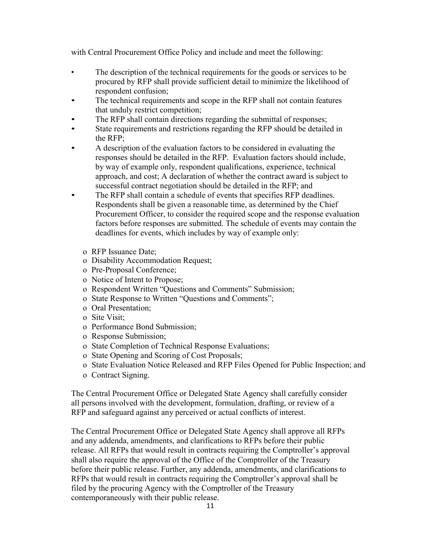with Central Procurement Office Policy and include and meet the following:

- The description of the technical requirements for the goods or services to be procured by RFP shall provide sufficient detail to minimize the likelihood of respondent confusion;
- The technical requirements and scope in the RFP shall not contain features that unduly restrict competition;
- The RFP shall contain directions regarding the submittal of responses;
- State requirements and restrictions regarding the RFP should be detailed in the RFP;
- A description of the evaluation factors to be considered in evaluating the responses should be detailed in the RFP. Evaluation factors should include, by way of example only, respondent qualifications, experience, technical approach, and cost; A declaration of whether the contract award is subject to successful contract negotiation should be detailed in the RFP; and
- The RFP shall contain a schedule of events that specifies RFP deadlines. Respondents shall be given a reasonable time, as determined by the Chief Procurement Officer, to consider the required scope and the response evaluation factors before responses are submitted. The schedule of events may contain the deadlines for events, which includes by way of example only:
	- o RFP Issuance Date;
	- o Disability Accommodation Request;
	- o Pre-Proposal Conference;
	- o Notice of Intent to Propose;
	- o Respondent Written "Questions and Comments" Submission;
	- o State Response to Written "Questions and Comments";
	- o Oral Presentation;
	- o Site Visit;
	- o Performance Bond Submission;
	- o Response Submission;
	- o State Completion of Technical Response Evaluations;
	- o State Opening and Scoring of Cost Proposals;
	- o State Evaluation Notice Released and RFP Files Opened for Public Inspection; and
	- o Contract Signing.

The Central Procurement Office or Delegated State Agency shall carefully consider all persons involved with the development, formulation, drafting, or review of a RFP and safeguard against any perceived or actual conflicts of interest.

The Central Procurement Office or Delegated State Agency shall approve all RFPs and any addenda, amendments, and clarifications to RFPs before their public release. All RFPs that would result in contracts requiring the Comptroller's approval shall also require the approval of the Office of the Comptroller of the Treasury before their public release. Further, any addenda, amendments, and clarifications to RFPs that would result in contracts requiring the Comptroller's approval shall be filed by the procuring Agency with the Comptroller of the Treasury contemporaneously with their public release.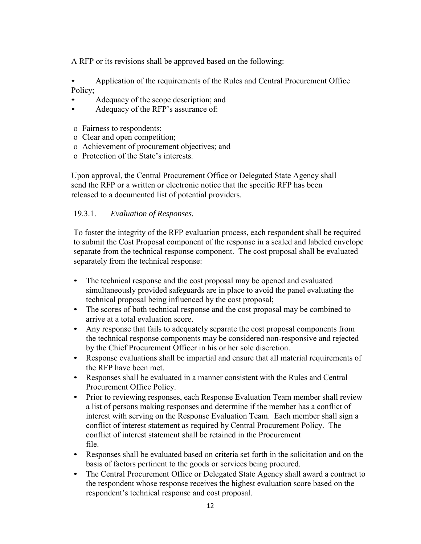A RFP or its revisions shall be approved based on the following:

• Application of the requirements of the Rules and Central Procurement Office Policy;

- Adequacy of the scope description; and
- Adequacy of the RFP's assurance of:
- o Fairness to respondents;
- o Clear and open competition;
- o Achievement of procurement objectives; and
- o Protection of the State's interests.

Upon approval, the Central Procurement Office or Delegated State Agency shall send the RFP or a written or electronic notice that the specific RFP has been released to a documented list of potential providers.

#### 19.3.1. *Evaluation of Responses.*

To foster the integrity of the RFP evaluation process, each respondent shall be required to submit the Cost Proposal component of the response in a sealed and labeled envelope separate from the technical response component. The cost proposal shall be evaluated separately from the technical response:

- The technical response and the cost proposal may be opened and evaluated simultaneously provided safeguards are in place to avoid the panel evaluating the technical proposal being influenced by the cost proposal;
- The scores of both technical response and the cost proposal may be combined to arrive at a total evaluation score.
- Any response that fails to adequately separate the cost proposal components from the technical response components may be considered non-responsive and rejected by the Chief Procurement Officer in his or her sole discretion.
- Response evaluations shall be impartial and ensure that all material requirements of the RFP have been met.
- Responses shall be evaluated in a manner consistent with the Rules and Central Procurement Office Policy.
- Prior to reviewing responses, each Response Evaluation Team member shall review a list of persons making responses and determine if the member has a conflict of interest with serving on the Response Evaluation Team. Each member shall sign a conflict of interest statement as required by Central Procurement Policy. The conflict of interest statement shall be retained in the Procurement file.
- Responses shall be evaluated based on criteria set forth in the solicitation and on the basis of factors pertinent to the goods or services being procured.
- The Central Procurement Office or Delegated State Agency shall award a contract to the respondent whose response receives the highest evaluation score based on the respondent's technical response and cost proposal.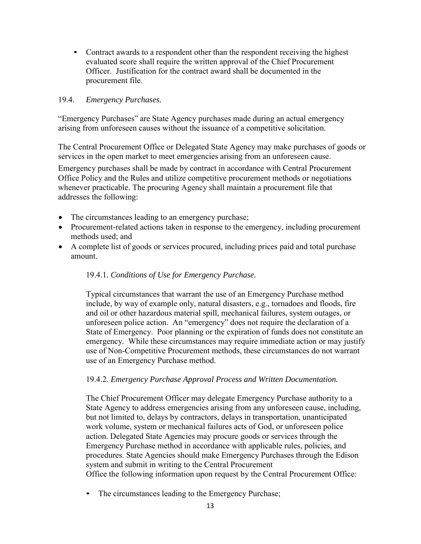• Contract awards to a respondent other than the respondent receiving the highest evaluated score shall require the written approval of the Chief Procurement Officer. Justification for the contract award shall be documented in the procurement file.

#### 19.4. *Emergency Purchases.*

"Emergency Purchases" are State Agency purchases made during an actual emergency arising from unforeseen causes without the issuance of a competitive solicitation.

The Central Procurement Office or Delegated State Agency may make purchases of goods or services in the open market to meet emergencies arising from an unforeseen cause.

Emergency purchases shall be made by contract in accordance with Central Procurement Office Policy and the Rules and utilize competitive procurement methods or negotiations whenever practicable. The procuring Agency shall maintain a procurement file that addresses the following:

- The circumstances leading to an emergency purchase;
- Procurement-related actions taken in response to the emergency, including procurement methods used; and
- A complete list of goods or services procured, including prices paid and total purchase amount.

#### 19.4.1. *Conditions of Use for Emergency Purchase.*

Typical circumstances that warrant the use of an Emergency Purchase method include, by way of example only, natural disasters, e.g., tornadoes and floods, fire and oil or other hazardous material spill, mechanical failures, system outages, or unforeseen police action. An "emergency" does not require the declaration of a State of Emergency. Poor planning or the expiration of funds does not constitute an emergency. While these circumstances may require immediate action or may justify use of Non-Competitive Procurement methods, these circumstances do not warrant use of an Emergency Purchase method.

#### 19.4.2. *Emergency Purchase Approval Process and Written Documentation.*

The Chief Procurement Officer may delegate Emergency Purchase authority to a State Agency to address emergencies arising from any unforeseen cause, including, but not limited to, delays by contractors, delays in transportation, unanticipated work volume, system or mechanical failures acts of God, or unforeseen police action. Delegated State Agencies may procure goods or services through the Emergency Purchase method in accordance with applicable rules, policies, and procedures. State Agencies should make Emergency Purchases through the Edison system and submit in writing to the Central Procurement Office the following information upon request by the Central Procurement Office:

• The circumstances leading to the Emergency Purchase;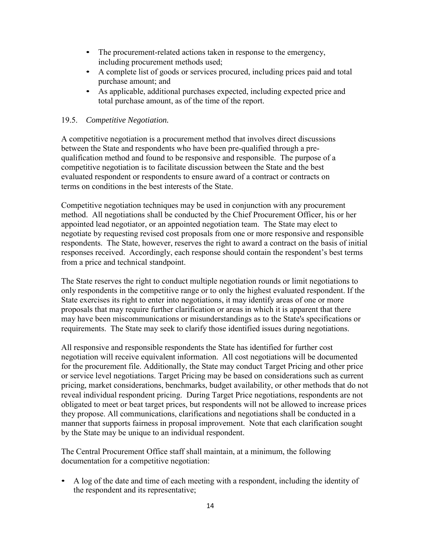- The procurement-related actions taken in response to the emergency, including procurement methods used;
- A complete list of goods or services procured, including prices paid and total purchase amount; and
- As applicable, additional purchases expected, including expected price and total purchase amount, as of the time of the report.

#### 19.5. *Competitive Negotiation.*

A competitive negotiation is a procurement method that involves direct discussions between the State and respondents who have been pre-qualified through a prequalification method and found to be responsive and responsible. The purpose of a competitive negotiation is to facilitate discussion between the State and the best evaluated respondent or respondents to ensure award of a contract or contracts on terms on conditions in the best interests of the State.

Competitive negotiation techniques may be used in conjunction with any procurement method. All negotiations shall be conducted by the Chief Procurement Officer, his or her appointed lead negotiator, or an appointed negotiation team. The State may elect to negotiate by requesting revised cost proposals from one or more responsive and responsible respondents. The State, however, reserves the right to award a contract on the basis of initial responses received. Accordingly, each response should contain the respondent's best terms from a price and technical standpoint.

The State reserves the right to conduct multiple negotiation rounds or limit negotiations to only respondents in the competitive range or to only the highest evaluated respondent. If the State exercises its right to enter into negotiations, it may identify areas of one or more proposals that may require further clarification or areas in which it is apparent that there may have been miscommunications or misunderstandings as to the State's specifications or requirements. The State may seek to clarify those identified issues during negotiations.

All responsive and responsible respondents the State has identified for further cost negotiation will receive equivalent information. All cost negotiations will be documented for the procurement file. Additionally, the State may conduct Target Pricing and other price or service level negotiations. Target Pricing may be based on considerations such as current pricing, market considerations, benchmarks, budget availability, or other methods that do not reveal individual respondent pricing. During Target Price negotiations, respondents are not obligated to meet or beat target prices, but respondents will not be allowed to increase prices they propose. All communications, clarifications and negotiations shall be conducted in a manner that supports fairness in proposal improvement. Note that each clarification sought by the State may be unique to an individual respondent.

The Central Procurement Office staff shall maintain, at a minimum, the following documentation for a competitive negotiation:

• A log of the date and time of each meeting with a respondent, including the identity of the respondent and its representative;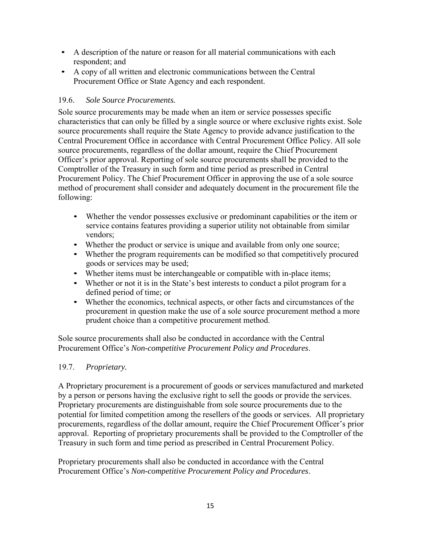- A description of the nature or reason for all material communications with each respondent; and
- A copy of all written and electronic communications between the Central Procurement Office or State Agency and each respondent.

### 19.6. *Sole Source Procurements.*

Sole source procurements may be made when an item or service possesses specific characteristics that can only be filled by a single source or where exclusive rights exist. Sole source procurements shall require the State Agency to provide advance justification to the Central Procurement Office in accordance with Central Procurement Office Policy. All sole source procurements, regardless of the dollar amount, require the Chief Procurement Officer's prior approval. Reporting of sole source procurements shall be provided to the Comptroller of the Treasury in such form and time period as prescribed in Central Procurement Policy. The Chief Procurement Officer in approving the use of a sole source method of procurement shall consider and adequately document in the procurement file the following:

- Whether the vendor possesses exclusive or predominant capabilities or the item or service contains features providing a superior utility not obtainable from similar vendors;
- Whether the product or service is unique and available from only one source;
- Whether the program requirements can be modified so that competitively procured goods or services may be used;
- Whether items must be interchangeable or compatible with in-place items;
- Whether or not it is in the State's best interests to conduct a pilot program for a defined period of time; or
- Whether the economics, technical aspects, or other facts and circumstances of the procurement in question make the use of a sole source procurement method a more prudent choice than a competitive procurement method.

Sole source procurements shall also be conducted in accordance with the Central Procurement Office's *Non-competitive Procurement Policy and Procedures*.

#### 19.7. *Proprietary.*

A Proprietary procurement is a procurement of goods or services manufactured and marketed by a person or persons having the exclusive right to sell the goods or provide the services. Proprietary procurements are distinguishable from sole source procurements due to the potential for limited competition among the resellers of the goods or services. All proprietary procurements, regardless of the dollar amount, require the Chief Procurement Officer's prior approval. Reporting of proprietary procurements shall be provided to the Comptroller of the Treasury in such form and time period as prescribed in Central Procurement Policy.

Proprietary procurements shall also be conducted in accordance with the Central Procurement Office's *Non-competitive Procurement Policy and Procedures*.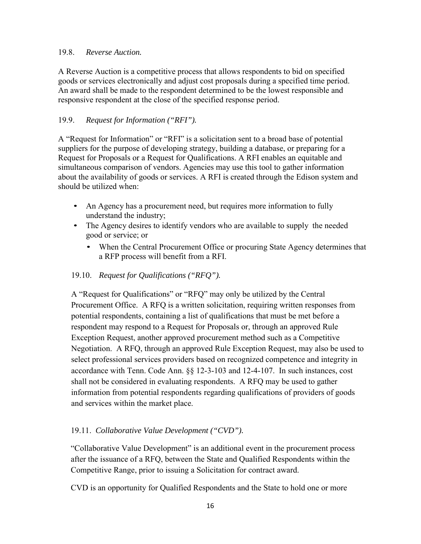#### 19.8. *Reverse Auction.*

A Reverse Auction is a competitive process that allows respondents to bid on specified goods or services electronically and adjust cost proposals during a specified time period. An award shall be made to the respondent determined to be the lowest responsible and responsive respondent at the close of the specified response period.

#### 19.9. *Request for Information ("RFI").*

A "Request for Information" or "RFI" is a solicitation sent to a broad base of potential suppliers for the purpose of developing strategy, building a database, or preparing for a Request for Proposals or a Request for Qualifications. A RFI enables an equitable and simultaneous comparison of vendors. Agencies may use this tool to gather information about the availability of goods or services. A RFI is created through the Edison system and should be utilized when:

- An Agency has a procurement need, but requires more information to fully understand the industry;
- The Agency desires to identify vendors who are available to supply the needed good or service; or
	- When the Central Procurement Office or procuring State Agency determines that a RFP process will benefit from a RFI.

#### 19.10. *Request for Qualifications ("RFQ").*

A "Request for Qualifications" or "RFQ" may only be utilized by the Central Procurement Office. A RFQ is a written solicitation, requiring written responses from potential respondents, containing a list of qualifications that must be met before a respondent may respond to a Request for Proposals or, through an approved Rule Exception Request, another approved procurement method such as a Competitive Negotiation. A RFQ, through an approved Rule Exception Request, may also be used to select professional services providers based on recognized competence and integrity in accordance with Tenn. Code Ann. §§ 12-3-103 and 12-4-107. In such instances, cost shall not be considered in evaluating respondents. A RFQ may be used to gather information from potential respondents regarding qualifications of providers of goods and services within the market place.

### 19.11. *Collaborative Value Development ("CVD").*

"Collaborative Value Development" is an additional event in the procurement process after the issuance of a RFQ, between the State and Qualified Respondents within the Competitive Range, prior to issuing a Solicitation for contract award.

CVD is an opportunity for Qualified Respondents and the State to hold one or more